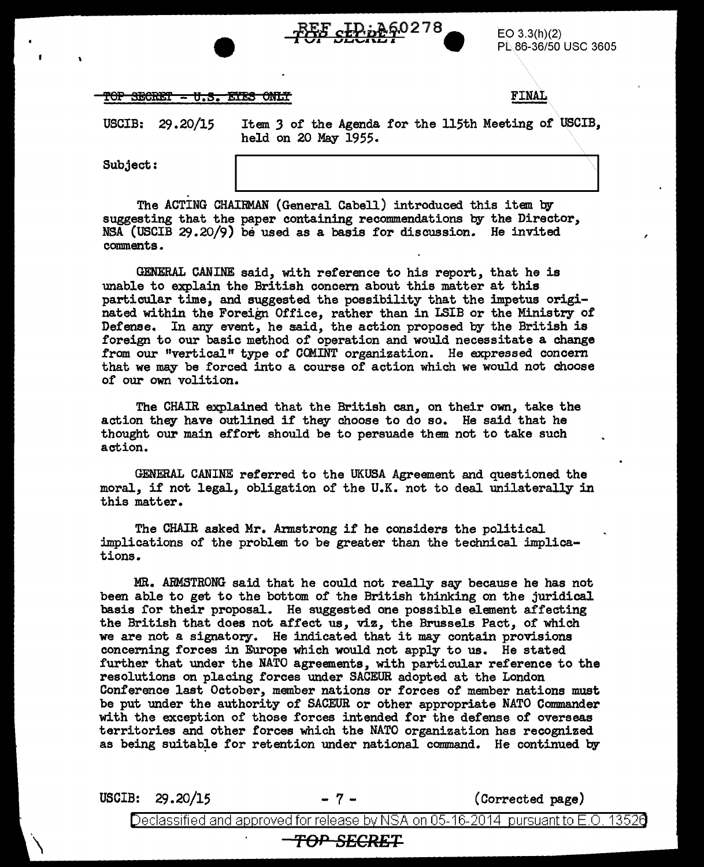

 $EO$  3.3(h)(2) PL.86-36/50 USC 3605

,

| <b>MOD ABABADA 12 A EXITIA OUTE</b> |  |  |              |
|-------------------------------------|--|--|--------------|
| TOL DEUTHING - 0.0. BIED UNIT       |  |  | <b>FINAL</b> |
|                                     |  |  |              |

USCIB: 29.20/15

Item *3* of the Agenda for the 115th Meeting of USCIB, held on 20 May 1955.

Subject:

The ACTING CHAIRMAN (General Cabell) introduced this item by suggesting that the paper containing recommendations by the Director,  $NSA$  (USCIB 29.20/9) be used as a basis for discussion. He invited comments.

GENERAL CANINE said, with reference to his report, that he is unable to explain the British concern about this matter at this particular time, and suggested the possibility that the impetus originated within the Foreign Office, rather than in LSIB or the Ministry of Defense. In any event, he said, the action proposed by the British is foreign to our basic method of operation and would necessitate a change from our "vertical" type of COMINT organization. He expressed concern that we may be forced into a course of action which we would not choose of our own volition.

The CHAIR explained that the British can, on their own, take the action they have outlined if they choose to do so. He said that he thought our main effort should be to persuade them not to take such action.

GENERAL CANINE referred to the UKUSA Agreement and questioned the moral, if not legal, obligation of the U.K. not to deal unilaterally in this matter.

The CHAIR asked Mr. Armstrong if he considers the political implications of the problem to be greater than the technical implications.

MR. ABMSTRONG said that he could not really say because he has not been able to get to the bottom of the British thinking on the juridical basis for their proposal. He suggested one possible element affecting the British that does not affect us, viz, the Brussels Pact, of which we are not a signatory. He indicated that it may contain provisions concerning forces in Europe which would not apply to us. He stated further that under the NATO agreements, with particular reference to the resolutions on placing forces under SACEUR adopted at the London Conference last October, member nations or forces of member nations must be put under the authority of SACEUR or other appropriate NATO Commander with the exception of those forces intended for the defense of overseas territories and other forces which the NATO organization has recognized as being suitable for retention under national command. He continued by

USCIB:  $29.20/15$  -  $7 -$  (Corrected page)

Declassified and approved for release by NSA on 05-16-2014 pursuant to E.O. 1352 $\delta$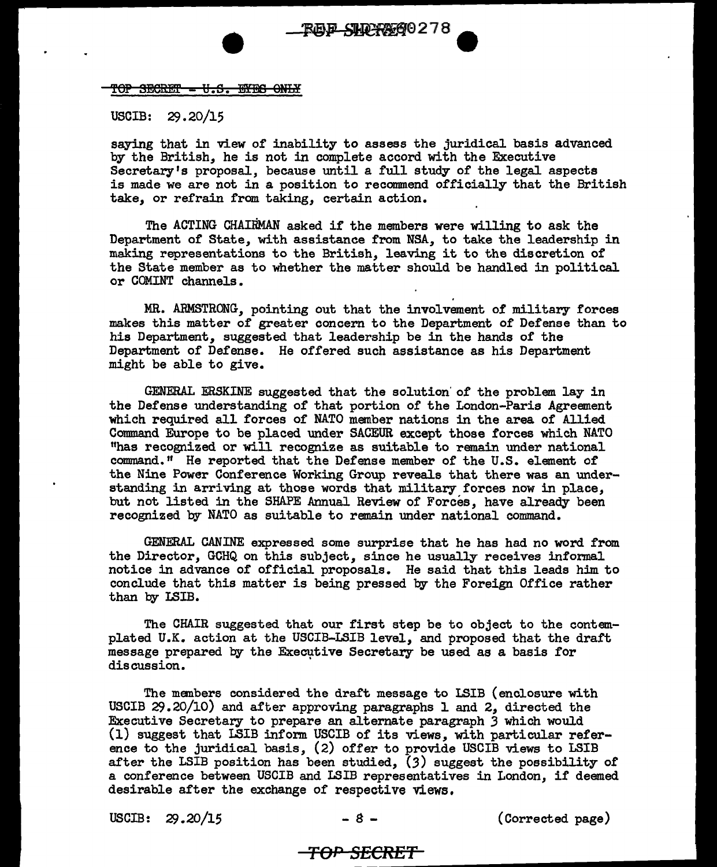## TOP SECRET - U.S. EYES ONLY

USCIB: 29.20/15

saying that in view of inability to assess the juridical basis advanced by the British, he is not in complete accord with the Executive Secretary's proposal, because until a full study of the legal aspects is made we are not in a position to recommend officially that the British take, or refrain from taking, certain action.

The ACTING CHAIRMAN asked if the members were willing to ask the Department of State, with assistance from NSA, to take the leadership in making representations to the British, leaving it to the discretion of the State member as to whether the matter should be handled in political or COMINT channels.

MR. ARMSTRONG, pointing out that the involvement of military forces makes this matter of greater concern to the Department of Defense than to his Department, suggested that leadership be in the hands of the Department of Defense. He offered such assistance as his Department might be able to give.

GENERAL ERSKINE suggested that the solution· of the problem lay in the Defense understanding of that portion of the London-Paris Agreement which required all forces of NATO member nations in the area of Allied Command Europe to be placed under SACEUR except those forces which NATO "has recognized or will recognize as suitable to remain under national command." He reported that the Defense member of the U.S. element of the Nine Power Conference Working Group reveals that there was an understanding in arriving at those words that military forces now in place, but not listed in the SHAPE Annual Review of Forces, have already been recognized by NATO as suitable to remain under national command.

GENERAL CANINE expressed some surprise that he has had no word from the Director, GCHQ on this subject, since he usually receives informal notice in advance of official proposals. He said that this leads him to conclude that this matter is being pressed by the Foreign Office rather than by LSIB.

The CHAIR suggested that our first step be to object to the contemplated U.K. action at the USCIB-LSIB level, and proposed that the draft message prepared by the Executive Secretary be used as a basis for discussion.

The manbers considered the draft message to LSIB (enclosure with USCIB 29.20/10) and after approving paragraphs l and 2, directed the Executive Secretary to prepare an alternate paragraph *3* which would (1) suggest that LSIB inform USCIB of' its views, with particular reference to the juridical basis, (2) offer to provide USCIB views to LSIB after the LSIB position has been studied, *(3)* suggest the possibility of a conference between USCIB and LSIB representatives in London, if deemed desirable after the exchange of respective views.

USCIB:  $29.20/15$   $-8$   $-$  (Corrected page)

## **TOP S£CRE'f**